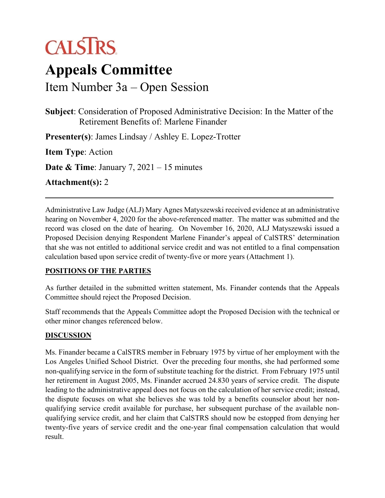# **CALSTRS**

## **Appeals Committee**

Item Number 3a – Open Session

**Subject**: Consideration of Proposed Administrative Decision: In the Matter of the Retirement Benefits of: Marlene Finander

**Presenter(s)**: James Lindsay / Ashley E. Lopez-Trotter

**Item Type**: Action

**Date & Time**: January 7, 2021 – 15 minutes

**Attachment(s):** 2

Administrative Law Judge (ALJ) Mary Agnes Matyszewski received evidence at an administrative hearing on November 4, 2020 for the above-referenced matter. The matter was submitted and the record was closed on the date of hearing. On November 16, 2020, ALJ Matyszewski issued a Proposed Decision denying Respondent Marlene Finander's appeal of CalSTRS' determination that she was not entitled to additional service credit and was not entitled to a final compensation calculation based upon service credit of twenty-five or more years (Attachment 1).

#### **POSITIONS OF THE PARTIES**

As further detailed in the submitted written statement, Ms. Finander contends that the Appeals Committee should reject the Proposed Decision.

Staff recommends that the Appeals Committee adopt the Proposed Decision with the technical or other minor changes referenced below.

#### **DISCUSSION**

Ms. Finander became a CalSTRS member in February 1975 by virtue of her employment with the Los Angeles Unified School District. Over the preceding four months, she had performed some non-qualifying service in the form of substitute teaching for the district. From February 1975 until her retirement in August 2005, Ms. Finander accrued 24.830 years of service credit. The dispute leading to the administrative appeal does not focus on the calculation of her service credit; instead, the dispute focuses on what she believes she was told by a benefits counselor about her nonqualifying service credit available for purchase, her subsequent purchase of the available nonqualifying service credit, and her claim that CalSTRS should now be estopped from denying her twenty-five years of service credit and the one-year final compensation calculation that would result.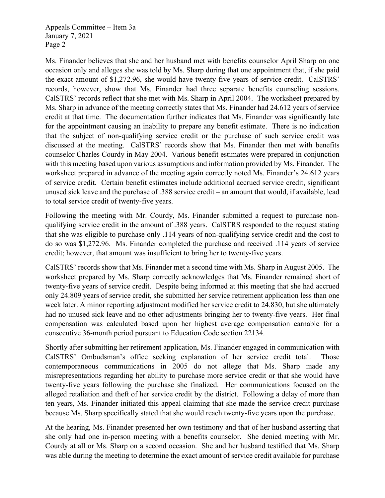Appeals Committee – Item 3a January 7, 2021 Page 2

Ms. Finander believes that she and her husband met with benefits counselor April Sharp on one occasion only and alleges she was told by Ms. Sharp during that one appointment that, if she paid the exact amount of \$1,272.96, she would have twenty-five years of service credit. CalSTRS' records, however, show that Ms. Finander had three separate benefits counseling sessions. CalSTRS' records reflect that she met with Ms. Sharp in April 2004. The worksheet prepared by Ms. Sharp in advance of the meeting correctly states that Ms. Finander had 24.612 years of service credit at that time. The documentation further indicates that Ms. Finander was significantly late for the appointment causing an inability to prepare any benefit estimate. There is no indication that the subject of non-qualifying service credit or the purchase of such service credit was discussed at the meeting. CalSTRS' records show that Ms. Finander then met with benefits counselor Charles Courdy in May 2004. Various benefit estimates were prepared in conjunction with this meeting based upon various assumptions and information provided by Ms. Finander. The worksheet prepared in advance of the meeting again correctly noted Ms. Finander's 24.612 years of service credit. Certain benefit estimates include additional accrued service credit, significant unused sick leave and the purchase of .388 service credit – an amount that would, if available, lead to total service credit of twenty-five years.

Following the meeting with Mr. Courdy, Ms. Finander submitted a request to purchase nonqualifying service credit in the amount of .388 years. CalSTRS responded to the request stating that she was eligible to purchase only .114 years of non-qualifying service credit and the cost to do so was \$1,272.96. Ms. Finander completed the purchase and received .114 years of service credit; however, that amount was insufficient to bring her to twenty-five years.

CalSTRS' records show that Ms. Finander met a second time with Ms. Sharp in August 2005. The worksheet prepared by Ms. Sharp correctly acknowledges that Ms. Finander remained short of twenty-five years of service credit. Despite being informed at this meeting that she had accrued only 24.809 years of service credit, she submitted her service retirement application less than one week later. A minor reporting adjustment modified her service credit to 24.830, but she ultimately had no unused sick leave and no other adjustments bringing her to twenty-five years. Her final compensation was calculated based upon her highest average compensation earnable for a consecutive 36-month period pursuant to Education Code section 22134.

Shortly after submitting her retirement application, Ms. Finander engaged in communication with CalSTRS' Ombudsman's office seeking explanation of her service credit total. Those contemporaneous communications in 2005 do not allege that Ms. Sharp made any misrepresentations regarding her ability to purchase more service credit or that she would have twenty-five years following the purchase she finalized. Her communications focused on the alleged retaliation and theft of her service credit by the district. Following a delay of more than ten years, Ms. Finander initiated this appeal claiming that she made the service credit purchase because Ms. Sharp specifically stated that she would reach twenty-five years upon the purchase.

At the hearing, Ms. Finander presented her own testimony and that of her husband asserting that she only had one in-person meeting with a benefits counselor. She denied meeting with Mr. Courdy at all or Ms. Sharp on a second occasion. She and her husband testified that Ms. Sharp was able during the meeting to determine the exact amount of service credit available for purchase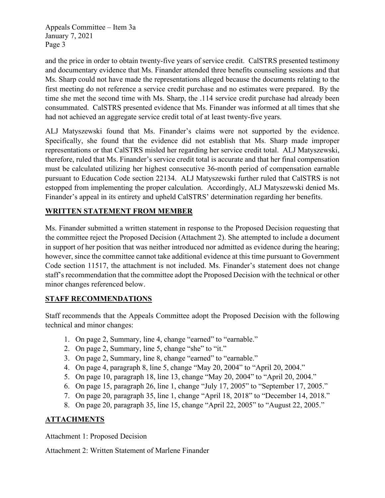Appeals Committee – Item 3a January 7, 2021 Page 3

and the price in order to obtain twenty-five years of service credit. CalSTRS presented testimony and documentary evidence that Ms. Finander attended three benefits counseling sessions and that Ms. Sharp could not have made the representations alleged because the documents relating to the first meeting do not reference a service credit purchase and no estimates were prepared. By the time she met the second time with Ms. Sharp, the .114 service credit purchase had already been consummated. CalSTRS presented evidence that Ms. Finander was informed at all times that she had not achieved an aggregate service credit total of at least twenty-five years.

ALJ Matyszewski found that Ms. Finander's claims were not supported by the evidence. Specifically, she found that the evidence did not establish that Ms. Sharp made improper representations or that CalSTRS misled her regarding her service credit total. ALJ Matyszewski, therefore, ruled that Ms. Finander's service credit total is accurate and that her final compensation must be calculated utilizing her highest consecutive 36-month period of compensation earnable pursuant to Education Code section 22134. ALJ Matyszewski further ruled that CalSTRS is not estopped from implementing the proper calculation. Accordingly, ALJ Matyszewski denied Ms. Finander's appeal in its entirety and upheld CalSTRS' determination regarding her benefits.

#### **WRITTEN STATEMENT FROM MEMBER**

Ms. Finander submitted a written statement in response to the Proposed Decision requesting that the committee reject the Proposed Decision (Attachment 2). She attempted to include a document in support of her position that was neither introduced nor admitted as evidence during the hearing; however, since the committee cannot take additional evidence at this time pursuant to Government Code section 11517, the attachment is not included. Ms. Finander's statement does not change staff's recommendation that the committee adopt the Proposed Decision with the technical or other minor changes referenced below.

#### **STAFF RECOMMENDATIONS**

Staff recommends that the Appeals Committee adopt the Proposed Decision with the following technical and minor changes:

- 1. On page 2, Summary, line 4, change "earned" to "earnable."
- 2. On page 2, Summary, line 5, change "she" to "it."
- 3. On page 2, Summary, line 8, change "earned" to "earnable."
- 4. On page 4, paragraph 8, line 5, change "May 20, 2004" to "April 20, 2004."
- 5. On page 10, paragraph 18, line 13, change "May 20, 2004" to "April 20, 2004."
- 6. On page 15, paragraph 26, line 1, change "July 17, 2005" to "September 17, 2005."
- 7. On page 20, paragraph 35, line 1, change "April 18, 2018" to "December 14, 2018."
- 8. On page 20, paragraph 35, line 15, change "April 22, 2005" to "August 22, 2005."

#### **ATTACHMENTS**

Attachment 1: Proposed Decision

Attachment 2: Written Statement of Marlene Finander